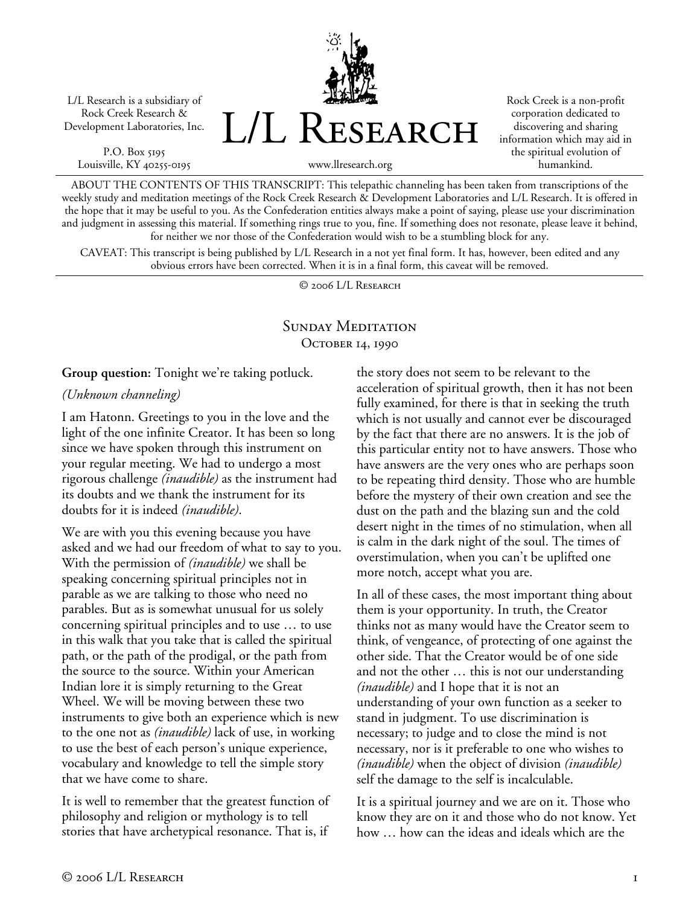L/L Research is a subsidiary of Rock Creek Research & Development Laboratories, Inc.

P.O. Box 5195 Louisville, KY 40255-0195 L/L Research

Rock Creek is a non-profit corporation dedicated to discovering and sharing information which may aid in the spiritual evolution of humankind.

www.llresearch.org

ABOUT THE CONTENTS OF THIS TRANSCRIPT: This telepathic channeling has been taken from transcriptions of the weekly study and meditation meetings of the Rock Creek Research & Development Laboratories and L/L Research. It is offered in the hope that it may be useful to you. As the Confederation entities always make a point of saying, please use your discrimination and judgment in assessing this material. If something rings true to you, fine. If something does not resonate, please leave it behind, for neither we nor those of the Confederation would wish to be a stumbling block for any.

CAVEAT: This transcript is being published by L/L Research in a not yet final form. It has, however, been edited and any obvious errors have been corrected. When it is in a final form, this caveat will be removed.

© 2006 L/L Research

## SUNDAY MEDITATION OCTOBER 14, 1990

**Group question:** Tonight we're taking potluck.

*(Unknown channeling)* 

I am Hatonn. Greetings to you in the love and the light of the one infinite Creator. It has been so long since we have spoken through this instrument on your regular meeting. We had to undergo a most rigorous challenge *(inaudible)* as the instrument had its doubts and we thank the instrument for its doubts for it is indeed *(inaudible)*.

We are with you this evening because you have asked and we had our freedom of what to say to you. With the permission of *(inaudible)* we shall be speaking concerning spiritual principles not in parable as we are talking to those who need no parables. But as is somewhat unusual for us solely concerning spiritual principles and to use … to use in this walk that you take that is called the spiritual path, or the path of the prodigal, or the path from the source to the source. Within your American Indian lore it is simply returning to the Great Wheel. We will be moving between these two instruments to give both an experience which is new to the one not as *(inaudible)* lack of use, in working to use the best of each person's unique experience, vocabulary and knowledge to tell the simple story that we have come to share.

It is well to remember that the greatest function of philosophy and religion or mythology is to tell stories that have archetypical resonance. That is, if

the story does not seem to be relevant to the acceleration of spiritual growth, then it has not been fully examined, for there is that in seeking the truth which is not usually and cannot ever be discouraged by the fact that there are no answers. It is the job of this particular entity not to have answers. Those who have answers are the very ones who are perhaps soon to be repeating third density. Those who are humble before the mystery of their own creation and see the dust on the path and the blazing sun and the cold desert night in the times of no stimulation, when all is calm in the dark night of the soul. The times of overstimulation, when you can't be uplifted one more notch, accept what you are.

In all of these cases, the most important thing about them is your opportunity. In truth, the Creator thinks not as many would have the Creator seem to think, of vengeance, of protecting of one against the other side. That the Creator would be of one side and not the other … this is not our understanding *(inaudible)* and I hope that it is not an understanding of your own function as a seeker to stand in judgment. To use discrimination is necessary; to judge and to close the mind is not necessary, nor is it preferable to one who wishes to *(inaudible)* when the object of division *(inaudible)* self the damage to the self is incalculable.

It is a spiritual journey and we are on it. Those who know they are on it and those who do not know. Yet how … how can the ideas and ideals which are the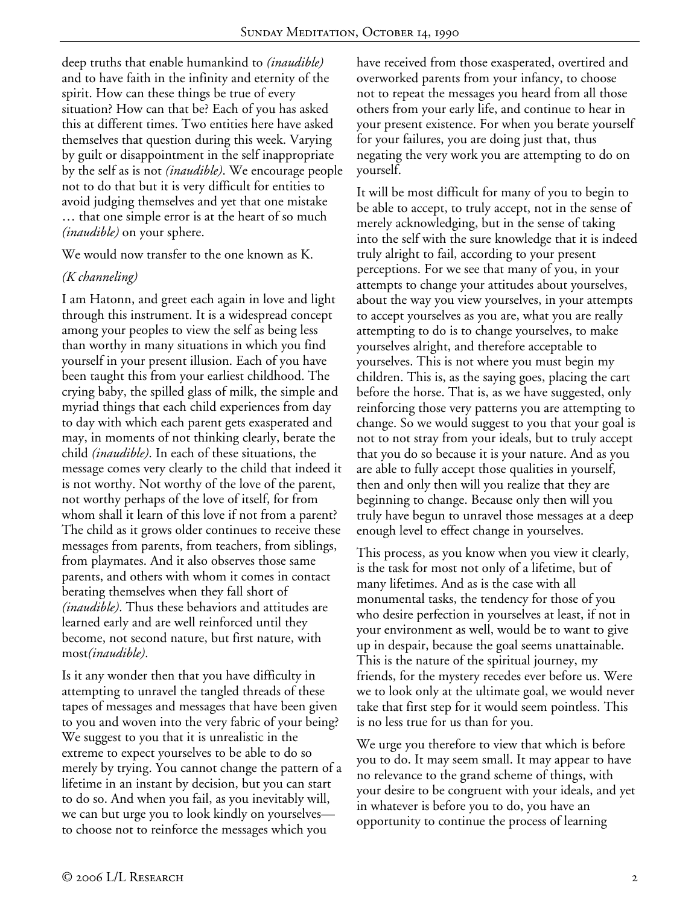deep truths that enable humankind to *(inaudible)* and to have faith in the infinity and eternity of the spirit. How can these things be true of every situation? How can that be? Each of you has asked this at different times. Two entities here have asked themselves that question during this week. Varying by guilt or disappointment in the self inappropriate by the self as is not *(inaudible)*. We encourage people not to do that but it is very difficult for entities to avoid judging themselves and yet that one mistake … that one simple error is at the heart of so much *(inaudible)* on your sphere.

We would now transfer to the one known as K.

#### *(K channeling)*

I am Hatonn, and greet each again in love and light through this instrument. It is a widespread concept among your peoples to view the self as being less than worthy in many situations in which you find yourself in your present illusion. Each of you have been taught this from your earliest childhood. The crying baby, the spilled glass of milk, the simple and myriad things that each child experiences from day to day with which each parent gets exasperated and may, in moments of not thinking clearly, berate the child *(inaudible)*. In each of these situations, the message comes very clearly to the child that indeed it is not worthy. Not worthy of the love of the parent, not worthy perhaps of the love of itself, for from whom shall it learn of this love if not from a parent? The child as it grows older continues to receive these messages from parents, from teachers, from siblings, from playmates. And it also observes those same parents, and others with whom it comes in contact berating themselves when they fall short of *(inaudible)*. Thus these behaviors and attitudes are learned early and are well reinforced until they become, not second nature, but first nature, with most*(inaudible)*.

Is it any wonder then that you have difficulty in attempting to unravel the tangled threads of these tapes of messages and messages that have been given to you and woven into the very fabric of your being? We suggest to you that it is unrealistic in the extreme to expect yourselves to be able to do so merely by trying. You cannot change the pattern of a lifetime in an instant by decision, but you can start to do so. And when you fail, as you inevitably will, we can but urge you to look kindly on yourselves to choose not to reinforce the messages which you

have received from those exasperated, overtired and overworked parents from your infancy, to choose not to repeat the messages you heard from all those others from your early life, and continue to hear in your present existence. For when you berate yourself for your failures, you are doing just that, thus negating the very work you are attempting to do on yourself.

It will be most difficult for many of you to begin to be able to accept, to truly accept, not in the sense of merely acknowledging, but in the sense of taking into the self with the sure knowledge that it is indeed truly alright to fail, according to your present perceptions. For we see that many of you, in your attempts to change your attitudes about yourselves, about the way you view yourselves, in your attempts to accept yourselves as you are, what you are really attempting to do is to change yourselves, to make yourselves alright, and therefore acceptable to yourselves. This is not where you must begin my children. This is, as the saying goes, placing the cart before the horse. That is, as we have suggested, only reinforcing those very patterns you are attempting to change. So we would suggest to you that your goal is not to not stray from your ideals, but to truly accept that you do so because it is your nature. And as you are able to fully accept those qualities in yourself, then and only then will you realize that they are beginning to change. Because only then will you truly have begun to unravel those messages at a deep enough level to effect change in yourselves.

This process, as you know when you view it clearly, is the task for most not only of a lifetime, but of many lifetimes. And as is the case with all monumental tasks, the tendency for those of you who desire perfection in yourselves at least, if not in your environment as well, would be to want to give up in despair, because the goal seems unattainable. This is the nature of the spiritual journey, my friends, for the mystery recedes ever before us. Were we to look only at the ultimate goal, we would never take that first step for it would seem pointless. This is no less true for us than for you.

We urge you therefore to view that which is before you to do. It may seem small. It may appear to have no relevance to the grand scheme of things, with your desire to be congruent with your ideals, and yet in whatever is before you to do, you have an opportunity to continue the process of learning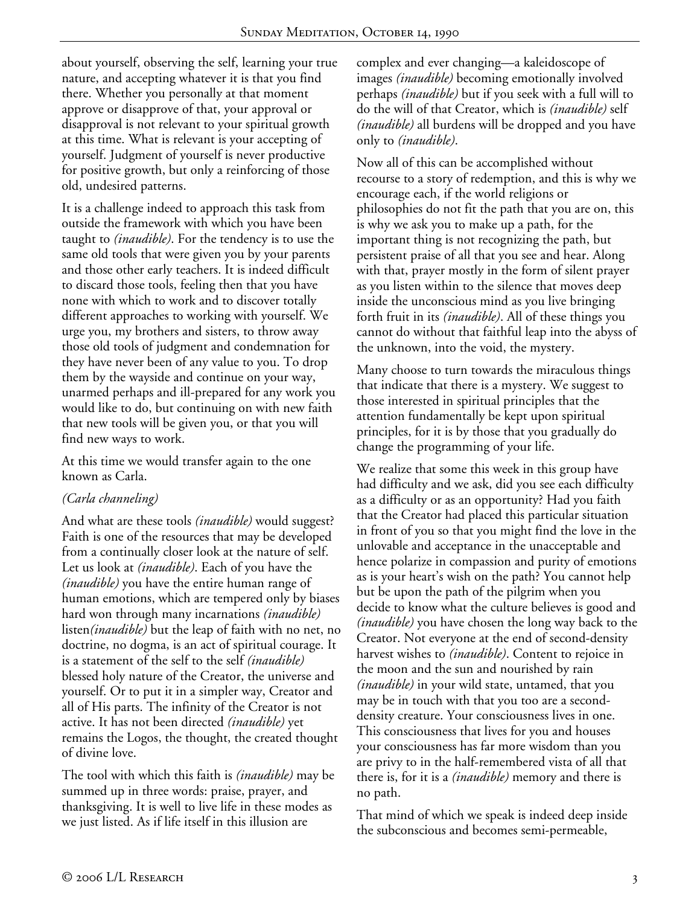about yourself, observing the self, learning your true nature, and accepting whatever it is that you find there. Whether you personally at that moment approve or disapprove of that, your approval or disapproval is not relevant to your spiritual growth at this time. What is relevant is your accepting of yourself. Judgment of yourself is never productive for positive growth, but only a reinforcing of those old, undesired patterns.

It is a challenge indeed to approach this task from outside the framework with which you have been taught to *(inaudible)*. For the tendency is to use the same old tools that were given you by your parents and those other early teachers. It is indeed difficult to discard those tools, feeling then that you have none with which to work and to discover totally different approaches to working with yourself. We urge you, my brothers and sisters, to throw away those old tools of judgment and condemnation for they have never been of any value to you. To drop them by the wayside and continue on your way, unarmed perhaps and ill-prepared for any work you would like to do, but continuing on with new faith that new tools will be given you, or that you will find new ways to work.

At this time we would transfer again to the one known as Carla.

## *(Carla channeling)*

And what are these tools *(inaudible)* would suggest? Faith is one of the resources that may be developed from a continually closer look at the nature of self. Let us look at *(inaudible)*. Each of you have the *(inaudible)* you have the entire human range of human emotions, which are tempered only by biases hard won through many incarnations *(inaudible)* listen*(inaudible)* but the leap of faith with no net, no doctrine, no dogma, is an act of spiritual courage. It is a statement of the self to the self *(inaudible)* blessed holy nature of the Creator, the universe and yourself. Or to put it in a simpler way, Creator and all of His parts. The infinity of the Creator is not active. It has not been directed *(inaudible)* yet remains the Logos, the thought, the created thought of divine love.

The tool with which this faith is *(inaudible)* may be summed up in three words: praise, prayer, and thanksgiving. It is well to live life in these modes as we just listed. As if life itself in this illusion are

complex and ever changing—a kaleidoscope of images *(inaudible)* becoming emotionally involved perhaps *(inaudible)* but if you seek with a full will to do the will of that Creator, which is *(inaudible)* self *(inaudible)* all burdens will be dropped and you have only to *(inaudible)*.

Now all of this can be accomplished without recourse to a story of redemption, and this is why we encourage each, if the world religions or philosophies do not fit the path that you are on, this is why we ask you to make up a path, for the important thing is not recognizing the path, but persistent praise of all that you see and hear. Along with that, prayer mostly in the form of silent prayer as you listen within to the silence that moves deep inside the unconscious mind as you live bringing forth fruit in its *(inaudible)*. All of these things you cannot do without that faithful leap into the abyss of the unknown, into the void, the mystery.

Many choose to turn towards the miraculous things that indicate that there is a mystery. We suggest to those interested in spiritual principles that the attention fundamentally be kept upon spiritual principles, for it is by those that you gradually do change the programming of your life.

We realize that some this week in this group have had difficulty and we ask, did you see each difficulty as a difficulty or as an opportunity? Had you faith that the Creator had placed this particular situation in front of you so that you might find the love in the unlovable and acceptance in the unacceptable and hence polarize in compassion and purity of emotions as is your heart's wish on the path? You cannot help but be upon the path of the pilgrim when you decide to know what the culture believes is good and *(inaudible)* you have chosen the long way back to the Creator. Not everyone at the end of second-density harvest wishes to *(inaudible)*. Content to rejoice in the moon and the sun and nourished by rain *(inaudible)* in your wild state, untamed, that you may be in touch with that you too are a seconddensity creature. Your consciousness lives in one. This consciousness that lives for you and houses your consciousness has far more wisdom than you are privy to in the half-remembered vista of all that there is, for it is a *(inaudible)* memory and there is no path.

That mind of which we speak is indeed deep inside the subconscious and becomes semi-permeable,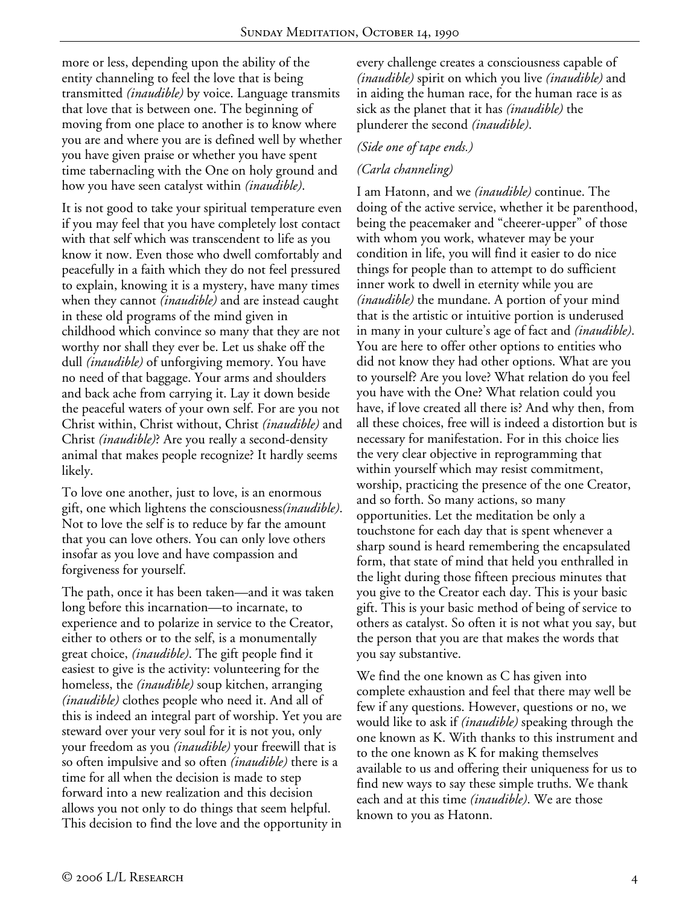more or less, depending upon the ability of the entity channeling to feel the love that is being transmitted *(inaudible)* by voice. Language transmits that love that is between one. The beginning of moving from one place to another is to know where you are and where you are is defined well by whether you have given praise or whether you have spent time tabernacling with the One on holy ground and how you have seen catalyst within *(inaudible)*.

It is not good to take your spiritual temperature even if you may feel that you have completely lost contact with that self which was transcendent to life as you know it now. Even those who dwell comfortably and peacefully in a faith which they do not feel pressured to explain, knowing it is a mystery, have many times when they cannot *(inaudible)* and are instead caught in these old programs of the mind given in childhood which convince so many that they are not worthy nor shall they ever be. Let us shake off the dull *(inaudible)* of unforgiving memory. You have no need of that baggage. Your arms and shoulders and back ache from carrying it. Lay it down beside the peaceful waters of your own self. For are you not Christ within, Christ without, Christ *(inaudible)* and Christ *(inaudible)*? Are you really a second-density animal that makes people recognize? It hardly seems likely.

To love one another, just to love, is an enormous gift, one which lightens the consciousness*(inaudible)*. Not to love the self is to reduce by far the amount that you can love others. You can only love others insofar as you love and have compassion and forgiveness for yourself.

The path, once it has been taken—and it was taken long before this incarnation—to incarnate, to experience and to polarize in service to the Creator, either to others or to the self, is a monumentally great choice, *(inaudible)*. The gift people find it easiest to give is the activity: volunteering for the homeless, the *(inaudible)* soup kitchen, arranging *(inaudible)* clothes people who need it. And all of this is indeed an integral part of worship. Yet you are steward over your very soul for it is not you, only your freedom as you *(inaudible)* your freewill that is so often impulsive and so often *(inaudible)* there is a time for all when the decision is made to step forward into a new realization and this decision allows you not only to do things that seem helpful. This decision to find the love and the opportunity in every challenge creates a consciousness capable of *(inaudible)* spirit on which you live *(inaudible)* and in aiding the human race, for the human race is as sick as the planet that it has *(inaudible)* the plunderer the second *(inaudible)*.

## *(Side one of tape ends.)*

## *(Carla channeling)*

I am Hatonn, and we *(inaudible)* continue. The doing of the active service, whether it be parenthood, being the peacemaker and "cheerer-upper" of those with whom you work, whatever may be your condition in life, you will find it easier to do nice things for people than to attempt to do sufficient inner work to dwell in eternity while you are *(inaudible)* the mundane. A portion of your mind that is the artistic or intuitive portion is underused in many in your culture's age of fact and *(inaudible)*. You are here to offer other options to entities who did not know they had other options. What are you to yourself? Are you love? What relation do you feel you have with the One? What relation could you have, if love created all there is? And why then, from all these choices, free will is indeed a distortion but is necessary for manifestation. For in this choice lies the very clear objective in reprogramming that within yourself which may resist commitment, worship, practicing the presence of the one Creator, and so forth. So many actions, so many opportunities. Let the meditation be only a touchstone for each day that is spent whenever a sharp sound is heard remembering the encapsulated form, that state of mind that held you enthralled in the light during those fifteen precious minutes that you give to the Creator each day. This is your basic gift. This is your basic method of being of service to others as catalyst. So often it is not what you say, but the person that you are that makes the words that you say substantive.

We find the one known as C has given into complete exhaustion and feel that there may well be few if any questions. However, questions or no, we would like to ask if *(inaudible)* speaking through the one known as K. With thanks to this instrument and to the one known as K for making themselves available to us and offering their uniqueness for us to find new ways to say these simple truths. We thank each and at this time *(inaudible)*. We are those known to you as Hatonn.